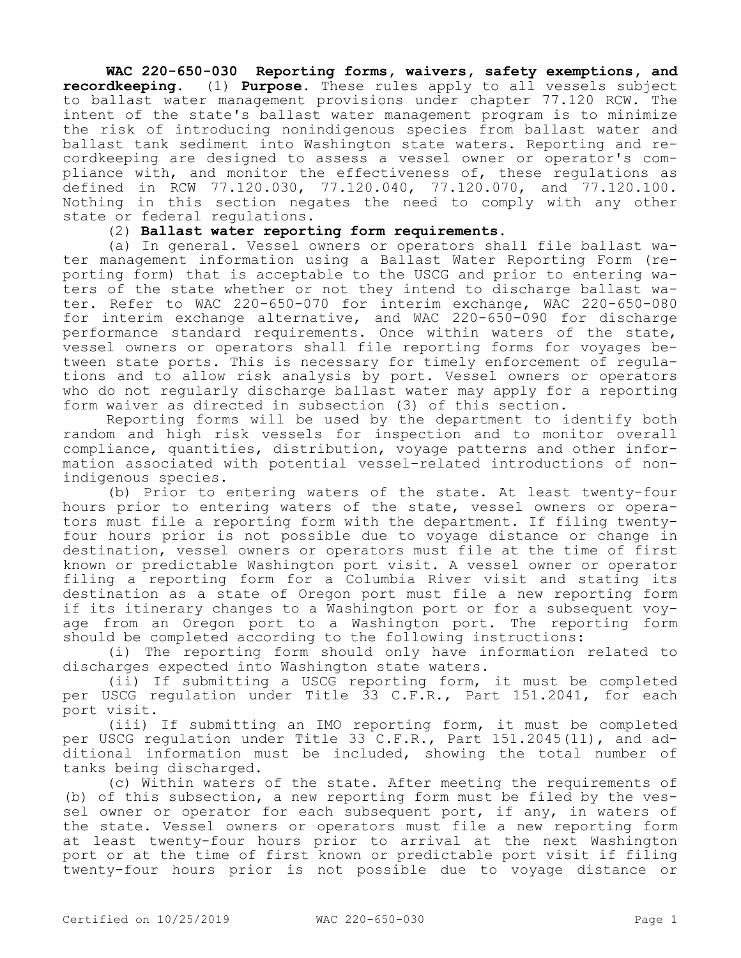## **WAC 220-650-030 Reporting forms, waivers, safety exemptions, and recordkeeping.** (1) **Purpose.** These rules apply to all vessels subject to ballast water management provisions under chapter 77.120 RCW. The intent of the state's ballast water management program is to minimize the risk of introducing nonindigenous species from ballast water and ballast tank sediment into Washington state waters. Reporting and recordkeeping are designed to assess a vessel owner or operator's compliance with, and monitor the effectiveness of, these regulations as defined in RCW 77.120.030, 77.120.040, 77.120.070, and 77.120.100. Nothing in this section negates the need to comply with any other state or federal regulations.

## (2) **Ballast water reporting form requirements.**

(a) In general. Vessel owners or operators shall file ballast water management information using a Ballast Water Reporting Form (reporting form) that is acceptable to the USCG and prior to entering waters of the state whether or not they intend to discharge ballast water. Refer to WAC 220-650-070 for interim exchange, WAC 220-650-080 for interim exchange alternative, and WAC 220-650-090 for discharge performance standard requirements. Once within waters of the state, vessel owners or operators shall file reporting forms for voyages between state ports. This is necessary for timely enforcement of regulations and to allow risk analysis by port. Vessel owners or operators who do not regularly discharge ballast water may apply for a reporting form waiver as directed in subsection (3) of this section.

Reporting forms will be used by the department to identify both random and high risk vessels for inspection and to monitor overall compliance, quantities, distribution, voyage patterns and other information associated with potential vessel-related introductions of nonindigenous species.

(b) Prior to entering waters of the state. At least twenty-four hours prior to entering waters of the state, vessel owners or operators must file a reporting form with the department. If filing twentyfour hours prior is not possible due to voyage distance or change in destination, vessel owners or operators must file at the time of first known or predictable Washington port visit. A vessel owner or operator filing a reporting form for a Columbia River visit and stating its destination as a state of Oregon port must file a new reporting form if its itinerary changes to a Washington port or for a subsequent voyage from an Oregon port to a Washington port. The reporting form should be completed according to the following instructions:

(i) The reporting form should only have information related to discharges expected into Washington state waters.

(ii) If submitting a USCG reporting form, it must be completed per USCG regulation under Title 33 C.F.R., Part 151.2041, for each port visit.

(iii) If submitting an IMO reporting form, it must be completed per USCG regulation under Title 33 C.F.R., Part 151.2045(11), and additional information must be included, showing the total number of tanks being discharged.

(c) Within waters of the state. After meeting the requirements of (b) of this subsection, a new reporting form must be filed by the vessel owner or operator for each subsequent port, if any, in waters of the state. Vessel owners or operators must file a new reporting form at least twenty-four hours prior to arrival at the next Washington port or at the time of first known or predictable port visit if filing twenty-four hours prior is not possible due to voyage distance or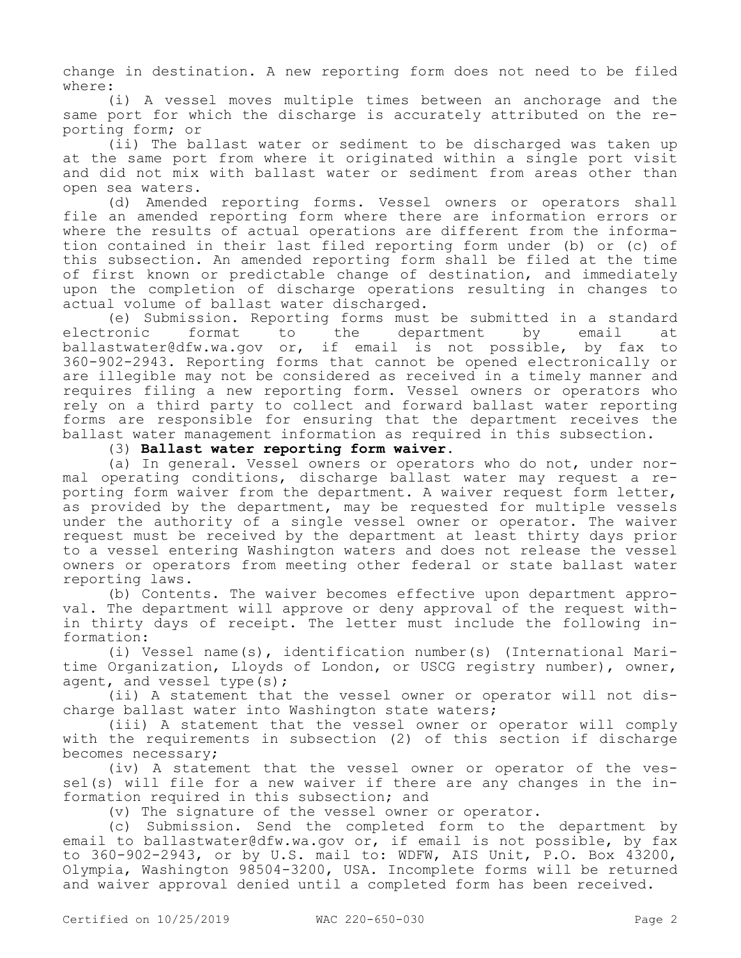change in destination. A new reporting form does not need to be filed where:

(i) A vessel moves multiple times between an anchorage and the same port for which the discharge is accurately attributed on the reporting form; or

(ii) The ballast water or sediment to be discharged was taken up at the same port from where it originated within a single port visit and did not mix with ballast water or sediment from areas other than open sea waters.

(d) Amended reporting forms. Vessel owners or operators shall file an amended reporting form where there are information errors or where the results of actual operations are different from the information contained in their last filed reporting form under (b) or (c) of this subsection. An amended reporting form shall be filed at the time of first known or predictable change of destination, and immediately upon the completion of discharge operations resulting in changes to actual volume of ballast water discharged.

(e) Submission. Reporting forms must be submitted in a standard<br>ronic iformat to the department by email at electronic format to the department by email at ballastwater@dfw.wa.gov or, if email is not possible, by fax to 360-902-2943. Reporting forms that cannot be opened electronically or are illegible may not be considered as received in a timely manner and requires filing a new reporting form. Vessel owners or operators who rely on a third party to collect and forward ballast water reporting forms are responsible for ensuring that the department receives the ballast water management information as required in this subsection.

(3) **Ballast water reporting form waiver.**

(a) In general. Vessel owners or operators who do not, under normal operating conditions, discharge ballast water may request a reporting form waiver from the department. A waiver request form letter, as provided by the department, may be requested for multiple vessels under the authority of a single vessel owner or operator. The waiver request must be received by the department at least thirty days prior to a vessel entering Washington waters and does not release the vessel owners or operators from meeting other federal or state ballast water reporting laws.

(b) Contents. The waiver becomes effective upon department approval. The department will approve or deny approval of the request within thirty days of receipt. The letter must include the following information:

(i) Vessel name(s), identification number(s) (International Maritime Organization, Lloyds of London, or USCG registry number), owner, agent, and vessel type(s);

(ii) A statement that the vessel owner or operator will not discharge ballast water into Washington state waters;

(iii) A statement that the vessel owner or operator will comply with the requirements in subsection (2) of this section if discharge becomes necessary;

(iv) A statement that the vessel owner or operator of the vessel(s) will file for a new waiver if there are any changes in the information required in this subsection; and

(v) The signature of the vessel owner or operator.

(c) Submission. Send the completed form to the department by email to ballastwater@dfw.wa.gov or, if email is not possible, by fax to 360-902-2943, or by U.S. mail to: WDFW, AIS Unit, P.O. Box 43200, Olympia, Washington 98504-3200, USA. Incomplete forms will be returned and waiver approval denied until a completed form has been received.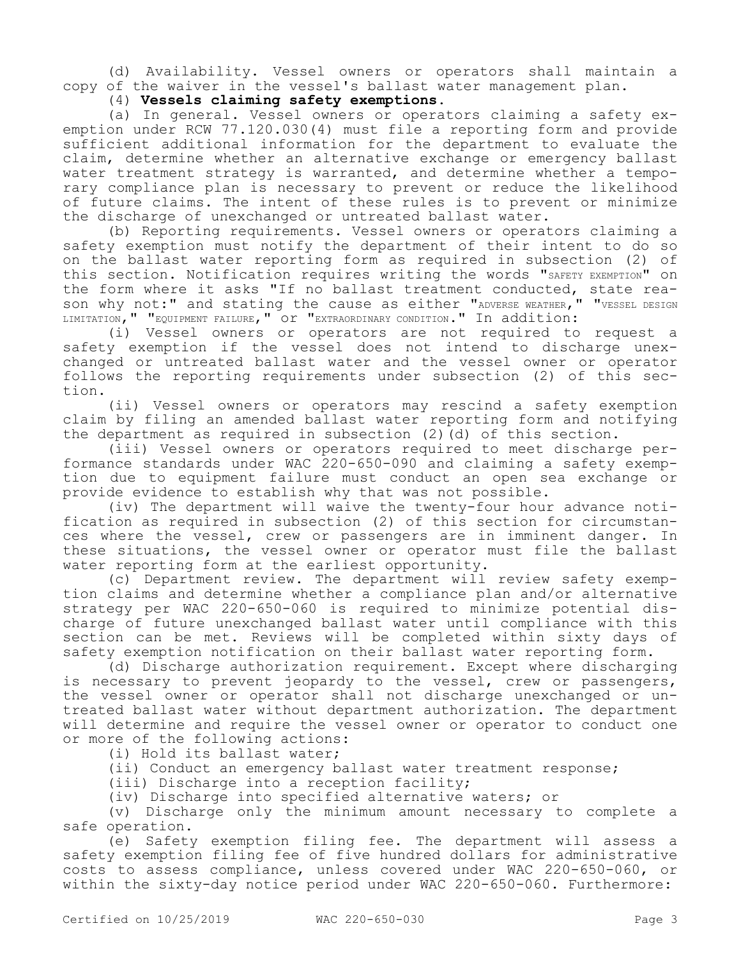(d) Availability. Vessel owners or operators shall maintain a copy of the waiver in the vessel's ballast water management plan.

(4) **Vessels claiming safety exemptions.**

(a) In general. Vessel owners or operators claiming a safety exemption under RCW 77.120.030(4) must file a reporting form and provide sufficient additional information for the department to evaluate the claim, determine whether an alternative exchange or emergency ballast water treatment strategy is warranted, and determine whether a temporary compliance plan is necessary to prevent or reduce the likelihood of future claims. The intent of these rules is to prevent or minimize the discharge of unexchanged or untreated ballast water.

(b) Reporting requirements. Vessel owners or operators claiming a safety exemption must notify the department of their intent to do so on the ballast water reporting form as required in subsection (2) of this section. Notification requires writing the words "SAFETY EXEMPTION" on the form where it asks "If no ballast treatment conducted, state reason why not:" and stating the cause as either "ADVERSE WEATHER, " "VESSEL DESIGN LIMITATION," "EQUIPMENT FAILURE," OT "EXTRAORDINARY CONDITION." In addition:

(i) Vessel owners or operators are not required to request a safety exemption if the vessel does not intend to discharge unexchanged or untreated ballast water and the vessel owner or operator follows the reporting requirements under subsection (2) of this section.

(ii) Vessel owners or operators may rescind a safety exemption claim by filing an amended ballast water reporting form and notifying the department as required in subsection (2)(d) of this section.

(iii) Vessel owners or operators required to meet discharge performance standards under WAC 220-650-090 and claiming a safety exemption due to equipment failure must conduct an open sea exchange or provide evidence to establish why that was not possible.

(iv) The department will waive the twenty-four hour advance notification as required in subsection (2) of this section for circumstances where the vessel, crew or passengers are in imminent danger. In these situations, the vessel owner or operator must file the ballast water reporting form at the earliest opportunity.

(c) Department review. The department will review safety exemption claims and determine whether a compliance plan and/or alternative strategy per WAC 220-650-060 is required to minimize potential discharge of future unexchanged ballast water until compliance with this section can be met. Reviews will be completed within sixty days of safety exemption notification on their ballast water reporting form.

(d) Discharge authorization requirement. Except where discharging is necessary to prevent jeopardy to the vessel, crew or passengers, the vessel owner or operator shall not discharge unexchanged or untreated ballast water without department authorization. The department will determine and require the vessel owner or operator to conduct one or more of the following actions:

(i) Hold its ballast water;

(ii) Conduct an emergency ballast water treatment response;

(iii) Discharge into a reception facility;

(iv) Discharge into specified alternative waters; or

(v) Discharge only the minimum amount necessary to complete a safe operation.

(e) Safety exemption filing fee. The department will assess a safety exemption filing fee of five hundred dollars for administrative costs to assess compliance, unless covered under WAC 220-650-060, or within the sixty-day notice period under WAC 220-650-060. Furthermore: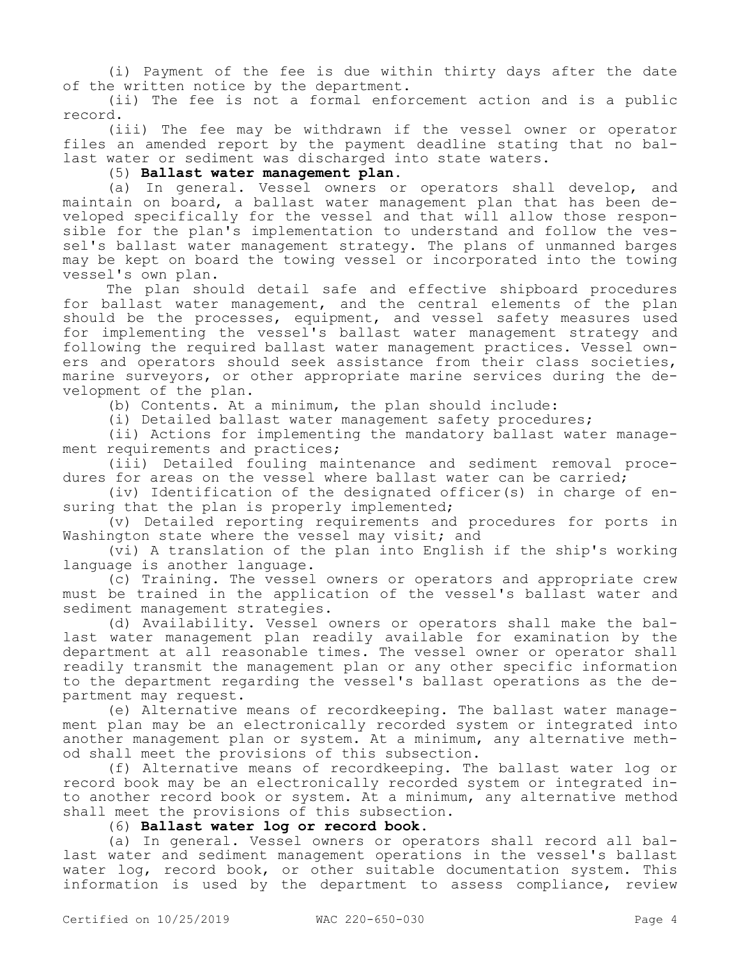(i) Payment of the fee is due within thirty days after the date of the written notice by the department.

(ii) The fee is not a formal enforcement action and is a public record.

(iii) The fee may be withdrawn if the vessel owner or operator files an amended report by the payment deadline stating that no ballast water or sediment was discharged into state waters.

(5) **Ballast water management plan.**

(a) In general. Vessel owners or operators shall develop, and maintain on board, a ballast water management plan that has been developed specifically for the vessel and that will allow those responsible for the plan's implementation to understand and follow the vessel's ballast water management strategy. The plans of unmanned barges may be kept on board the towing vessel or incorporated into the towing vessel's own plan.

The plan should detail safe and effective shipboard procedures for ballast water management, and the central elements of the plan should be the processes, equipment, and vessel safety measures used for implementing the vessel's ballast water management strategy and following the required ballast water management practices. Vessel owners and operators should seek assistance from their class societies, marine surveyors, or other appropriate marine services during the development of the plan.

(b) Contents. At a minimum, the plan should include:

(i) Detailed ballast water management safety procedures;

(ii) Actions for implementing the mandatory ballast water management requirements and practices;

(iii) Detailed fouling maintenance and sediment removal procedures for areas on the vessel where ballast water can be carried;

(iv) Identification of the designated officer(s) in charge of ensuring that the plan is properly implemented;

(v) Detailed reporting requirements and procedures for ports in Washington state where the vessel may visit; and

(vi) A translation of the plan into English if the ship's working language is another language.

(c) Training. The vessel owners or operators and appropriate crew must be trained in the application of the vessel's ballast water and sediment management strategies.

(d) Availability. Vessel owners or operators shall make the ballast water management plan readily available for examination by the department at all reasonable times. The vessel owner or operator shall readily transmit the management plan or any other specific information to the department regarding the vessel's ballast operations as the department may request.

(e) Alternative means of recordkeeping. The ballast water management plan may be an electronically recorded system or integrated into another management plan or system. At a minimum, any alternative method shall meet the provisions of this subsection.

(f) Alternative means of recordkeeping. The ballast water log or record book may be an electronically recorded system or integrated into another record book or system. At a minimum, any alternative method shall meet the provisions of this subsection.

(6) **Ballast water log or record book.**

(a) In general. Vessel owners or operators shall record all ballast water and sediment management operations in the vessel's ballast water log, record book, or other suitable documentation system. This information is used by the department to assess compliance, review